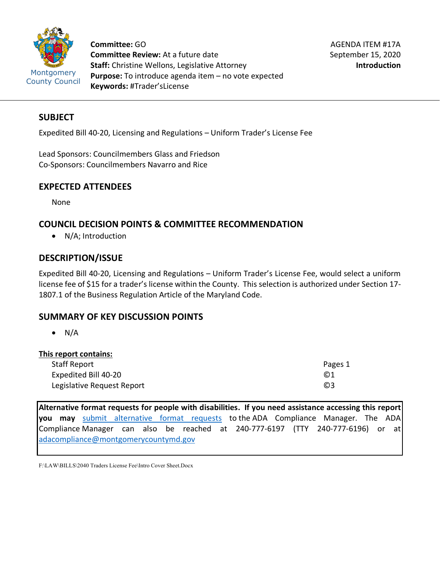

**Committee:** GO **Committee Review:** At a future date **Staff:** Christine Wellons, Legislative Attorney **Purpose:** To introduce agenda item – no vote expected **Keywords:** #Trader'sLicense

# **SUBJECT**

Expedited Bill 40-20, Licensing and Regulations – Uniform Trader's License Fee

Lead Sponsors: Councilmembers Glass and Friedson Co-Sponsors: Councilmembers Navarro and Rice

## **EXPECTED ATTENDEES**

None

# **COUNCIL DECISION POINTS & COMMITTEE RECOMMENDATION**

• N/A; Introduction

# **DESCRIPTION/ISSUE**

Expedited Bill 40-20, Licensing and Regulations – Uniform Trader's License Fee, would select a uniform license fee of \$15 for a trader's license within the County. This selection is authorized under Section 17- 1807.1 of the Business Regulation Article of the Maryland Code.

# **SUMMARY OF KEY DISCUSSION POINTS**

 $\bullet$  N/A

| This report contains:      |           |
|----------------------------|-----------|
| <b>Staff Report</b>        | Pages 1   |
| Expedited Bill 40-20       | $\odot$ 1 |
| Legislative Request Report | $\odot$ 3 |

**Alternative format requests for people with disabilities. If you need assistance accessing this report you may** [submit alternative format requests](https://gcc01.safelinks.protection.outlook.com/?url=http%3A%2F%2Fwww2.montgomerycountymd.gov%2Fmcgportalapps%2FAccessibilityForm.aspx&data=02%7C01%7Csandra.marin%40montgomerycountymd.gov%7C79d44e803a8846df027008d6ad4e4d1b%7C6e01b1f9b1e54073ac97778069a0ad64%7C0%7C0%7C636886950086244453&sdata=AT2lwLz22SWBJ8c92gXfspY8lQVeGCrUbqSPzpYheB0%3D&reserved=0) to the ADA Compliance Manager. The ADA Compliance Manager can also be reached at 240-777-6197 (TTY 240-777-6196) or at [adacompliance@montgomerycountymd.gov](mailto:adacompliance@montgomerycountymd.gov)

F:\LAW\BILLS\2040 Traders License Fee\Intro Cover Sheet.Docx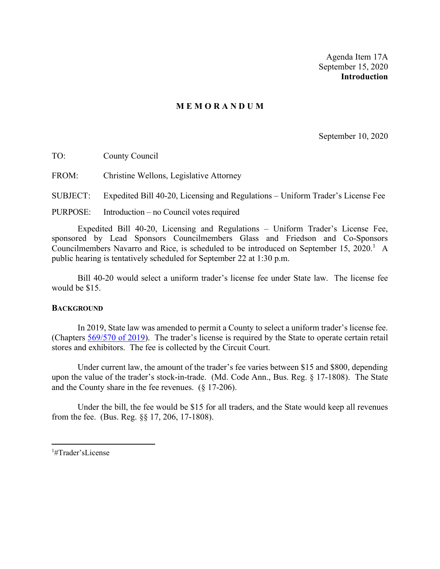Agenda Item 17A September 15, 2020 **Introduction**

## **M E M O R A N D U M**

September 10, 2020

TO: County Council

FROM: Christine Wellons, Legislative Attorney

SUBJECT: Expedited Bill 40-20, Licensing and Regulations – Uniform Trader's License Fee

PURPOSE: Introduction – no Council votes required

Expedited Bill 40-20, Licensing and Regulations – Uniform Trader's License Fee, sponsored by Lead Sponsors Councilmembers Glass and Friedson and Co-Sponsors Councilmembers Navarro and Rice, is scheduled to be introduced on September [1](#page-1-0)5, 2020.<sup>1</sup> A public hearing is tentatively scheduled for September 22 at 1:30 p.m.

Bill 40-20 would select a uniform trader's license fee under State law. The license fee would be \$15.

## **BACKGROUND**

In 2019, State law was amended to permit a County to select a uniform trader's license fee. (Chapters [569/570 of 2019\)](https://gcc01.safelinks.protection.outlook.com/?url=http%3A%2F%2Fmgaleg.maryland.gov%2F2019RS%2Fchapters_noln%2FCh_569_hb0034T.pdf&data=02%7C01%7CChristine.Wellons%40montgomerycountymd.gov%7C0ab6c5a59c7041dd3b1108d84df0993d%7C6e01b1f9b1e54073ac97778069a0ad64%7C0%7C0%7C637345043046736768&sdata=DV4XXn48g82wb1sXHyPThvDrxGnDDTZg3LTUiGj2I20%3D&reserved=0). The trader's license is required by the State to operate certain retail stores and exhibitors. The fee is collected by the Circuit Court.

Under current law, the amount of the trader's fee varies between \$15 and \$800, depending upon the value of the trader's stock-in-trade. (Md. Code Ann., Bus. Reg. § 17-1808). The State and the County share in the fee revenues. (§ 17-206).

Under the bill, the fee would be \$15 for all traders, and the State would keep all revenues from the fee. (Bus. Reg. §§ 17, 206, 17-1808).

<span id="page-1-0"></span><sup>1</sup> #Trader'sLicense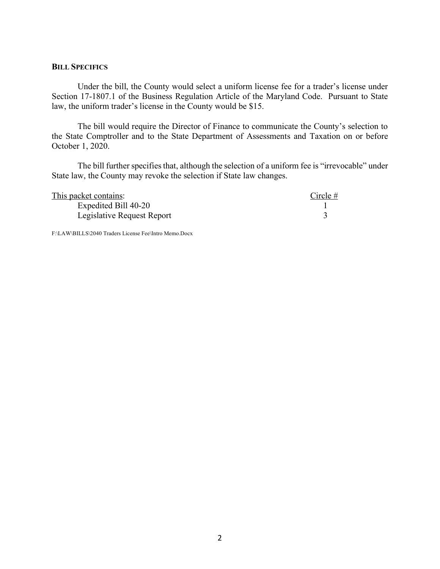#### **BILL SPECIFICS**

Under the bill, the County would select a uniform license fee for a trader's license under Section 17-1807.1 of the Business Regulation Article of the Maryland Code. Pursuant to State law, the uniform trader's license in the County would be \$15.

The bill would require the Director of Finance to communicate the County's selection to the State Comptroller and to the State Department of Assessments and Taxation on or before October 1, 2020.

The bill further specifies that, although the selection of a uniform fee is "irrevocable" under State law, the County may revoke the selection if State law changes.

| This packet contains:      | Circle $#$ |
|----------------------------|------------|
| Expedited Bill 40-20       |            |
| Legislative Request Report |            |

F:\LAW\BILLS\2040 Traders License Fee\Intro Memo.Docx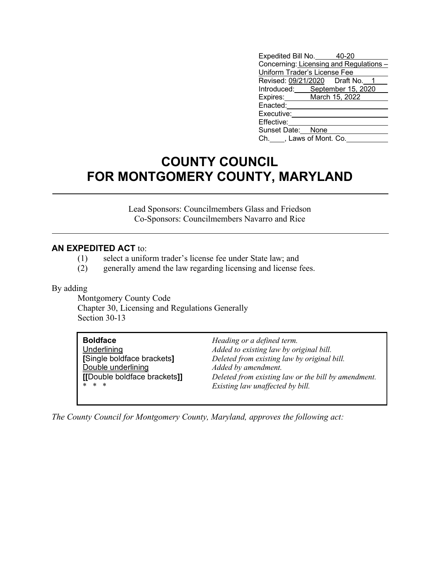| Expedited Bill No. 40-20                |  |  |
|-----------------------------------------|--|--|
| Concerning: Licensing and Regulations - |  |  |
| Uniform Trader's License Fee            |  |  |
| Revised: 09/21/2020   Draft No.   1     |  |  |
| Introduced: September 15, 2020          |  |  |
| Expires: March 15, 2022                 |  |  |
| Enacted:                                |  |  |
| Executive:                              |  |  |
| Effective:                              |  |  |
| Sunset Date: None                       |  |  |
| Ch. ____, Laws of Mont. Co.             |  |  |

# **COUNTY COUNCIL FOR MONTGOMERY COUNTY, MARYLAND**

Lead Sponsors: Councilmembers Glass and Friedson Co-Sponsors: Councilmembers Navarro and Rice

## **AN EXPEDITED ACT** to:

- (1) select a uniform trader's license fee under State law; and
- (2) generally amend the law regarding licensing and license fees.

### By adding

Montgomery County Code Chapter 30, Licensing and Regulations Generally Section 30-13

| <b>Boldface</b>              | Heading or a defined term.                          |
|------------------------------|-----------------------------------------------------|
| Underlining                  | Added to existing law by original bill.             |
| [Single boldface brackets]   | Deleted from existing law by original bill.         |
| Double underlining           | Added by amendment.                                 |
| [[Double boldface brackets]] | Deleted from existing law or the bill by amendment. |
| * * *                        | Existing law unaffected by bill.                    |
|                              |                                                     |

*The County Council for Montgomery County, Maryland, approves the following act:*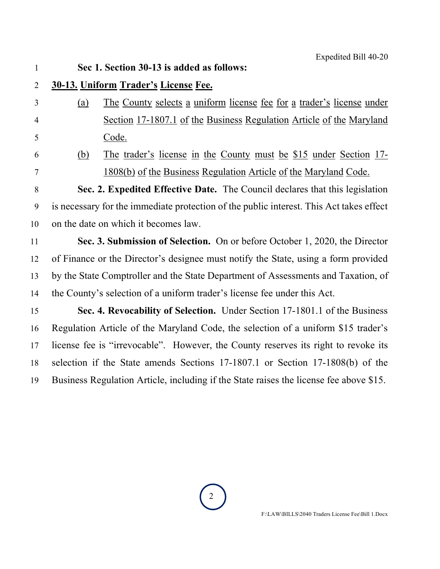# **Sec 1. Section 30-13 is added as follows:**

- **30-13. Uniform Trader's License Fee.**
- (a) The County selects a uniform license fee for a trader's license under Section 17-1807.1 of the Business Regulation Article of the Maryland Code.
- 

 (b) The trader's license in the County must be \$15 under Section 17- 1808(b) of the Business Regulation Article of the Maryland Code.

 **Sec. 2. Expedited Effective Date.** The Council declares that this legislation is necessary for the immediate protection of the public interest. This Act takes effect on the date on which it becomes law.

 **Sec. 3. Submission of Selection.** On or before October 1, 2020, the Director of Finance or the Director's designee must notify the State, using a form provided by the State Comptroller and the State Department of Assessments and Taxation, of the County's selection of a uniform trader's license fee under this Act.

 **Sec. 4. Revocability of Selection.** Under Section 17-1801.1 of the Business Regulation Article of the Maryland Code, the selection of a uniform \$15 trader's license fee is "irrevocable". However, the County reserves its right to revoke its selection if the State amends Sections 17-1807.1 or Section 17-1808(b) of the Business Regulation Article, including if the State raises the license fee above \$15.